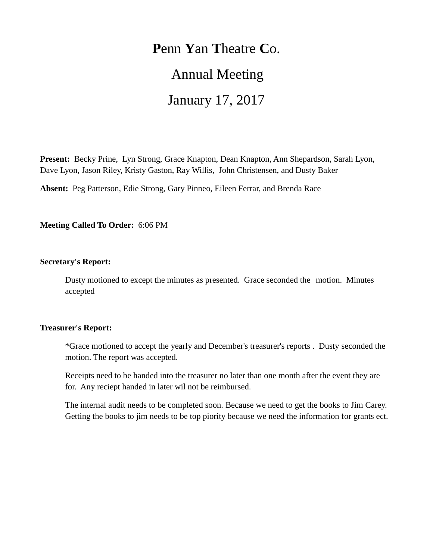## **P**enn **Y**an **T**heatre **C**o.

# Annual Meeting

# January 17, 2017

**Present:** Becky Prine, Lyn Strong, Grace Knapton, Dean Knapton, Ann Shepardson, Sarah Lyon, Dave Lyon, Jason Riley, Kristy Gaston, Ray Willis, John Christensen, and Dusty Baker

**Absent:** Peg Patterson, Edie Strong, Gary Pinneo, Eileen Ferrar, and Brenda Race

**Meeting Called To Order:** 6:06 PM

#### **Secretary's Report:**

Dusty motioned to except the minutes as presented. Grace seconded the motion. Minutes accepted

#### **Treasurer's Report:**

\*Grace motioned to accept the yearly and December's treasurer's reports . Dusty seconded the motion. The report was accepted.

Receipts need to be handed into the treasurer no later than one month after the event they are for. Any reciept handed in later wil not be reimbursed.

The internal audit needs to be completed soon. Because we need to get the books to Jim Carey. Getting the books to jim needs to be top piority because we need the information for grants ect.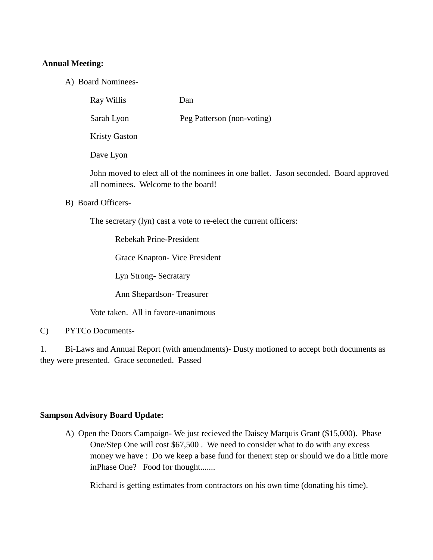### **Annual Meeting:**

A) Board Nominees-

Ray Willis Dan

Sarah Lyon Peg Patterson (non-voting)

Kristy Gaston

Dave Lyon

John moved to elect all of the nominees in one ballet. Jason seconded. Board approved all nominees. Welcome to the board!

B) Board Officers-

The secretary (lyn) cast a vote to re-elect the current officers:

Rebekah Prine-President

Grace Knapton- Vice President

Lyn Strong- Secratary

Ann Shepardson- Treasurer

Vote taken. All in favore-unanimous

C) PYTCo Documents-

1. Bi-Laws and Annual Report (with amendments)- Dusty motioned to accept both documents as they were presented. Grace seconeded. Passed

### **Sampson Advisory Board Update:**

A) Open the Doors Campaign- We just recieved the Daisey Marquis Grant (\$15,000). Phase One/Step One will cost \$67,500 . We need to consider what to do with any excess money we have : Do we keep a base fund for thenext step or should we do a little more inPhase One? Food for thought.......

Richard is getting estimates from contractors on his own time (donating his time).